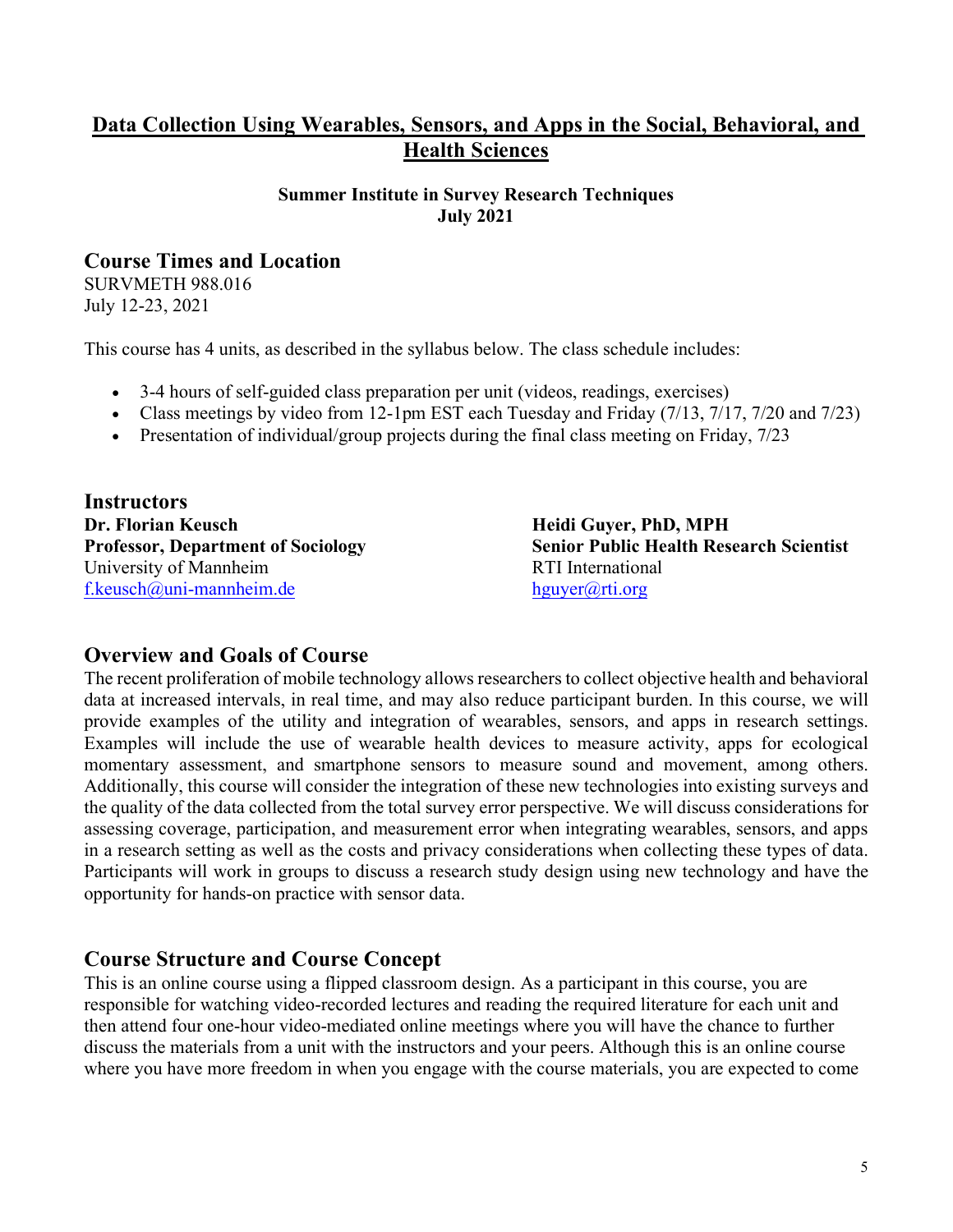# **Data Collection Using Wearables, Sensors, and Apps in the Social, Behavioral, and Health Sciences**

#### **Summer Institute in Survey Research Techniques July 2021**

### **Course Times and Location**

SURVMETH 988.016 July 12-23, 2021

This course has 4 units, as described in the syllabus below. The class schedule includes:

- 3-4 hours of self-guided class preparation per unit (videos, readings, exercises)
- Class meetings by video from 12-1pm EST each Tuesday and Friday (7/13, 7/17, 7/20 and 7/23)
- Presentation of individual/group projects during the final class meeting on Friday, 7/23

**Instructors Dr. Florian Keusch Heidi Guyer, PhD, MPH** University of Mannheim RTI International [f.keusch@uni-mannheim.de](about:blank) [hguyer@rti.org](about:blank)

**Professor, Department of Sociology Senior Public Health Research Scientist**

#### **Overview and Goals of Course**

The recent proliferation of mobile technology allows researchers to collect objective health and behavioral data at increased intervals, in real time, and may also reduce participant burden. In this course, we will provide examples of the utility and integration of wearables, sensors, and apps in research settings. Examples will include the use of wearable health devices to measure activity, apps for ecological momentary assessment, and smartphone sensors to measure sound and movement, among others. Additionally, this course will consider the integration of these new technologies into existing surveys and the quality of the data collected from the total survey error perspective. We will discuss considerations for assessing coverage, participation, and measurement error when integrating wearables, sensors, and apps in a research setting as well as the costs and privacy considerations when collecting these types of data. Participants will work in groups to discuss a research study design using new technology and have the opportunity for hands-on practice with sensor data.

### **Course Structure and Course Concept**

This is an online course using a flipped classroom design. As a participant in this course, you are responsible for watching video-recorded lectures and reading the required literature for each unit and then attend four one-hour video-mediated online meetings where you will have the chance to further discuss the materials from a unit with the instructors and your peers. Although this is an online course where you have more freedom in when you engage with the course materials, you are expected to come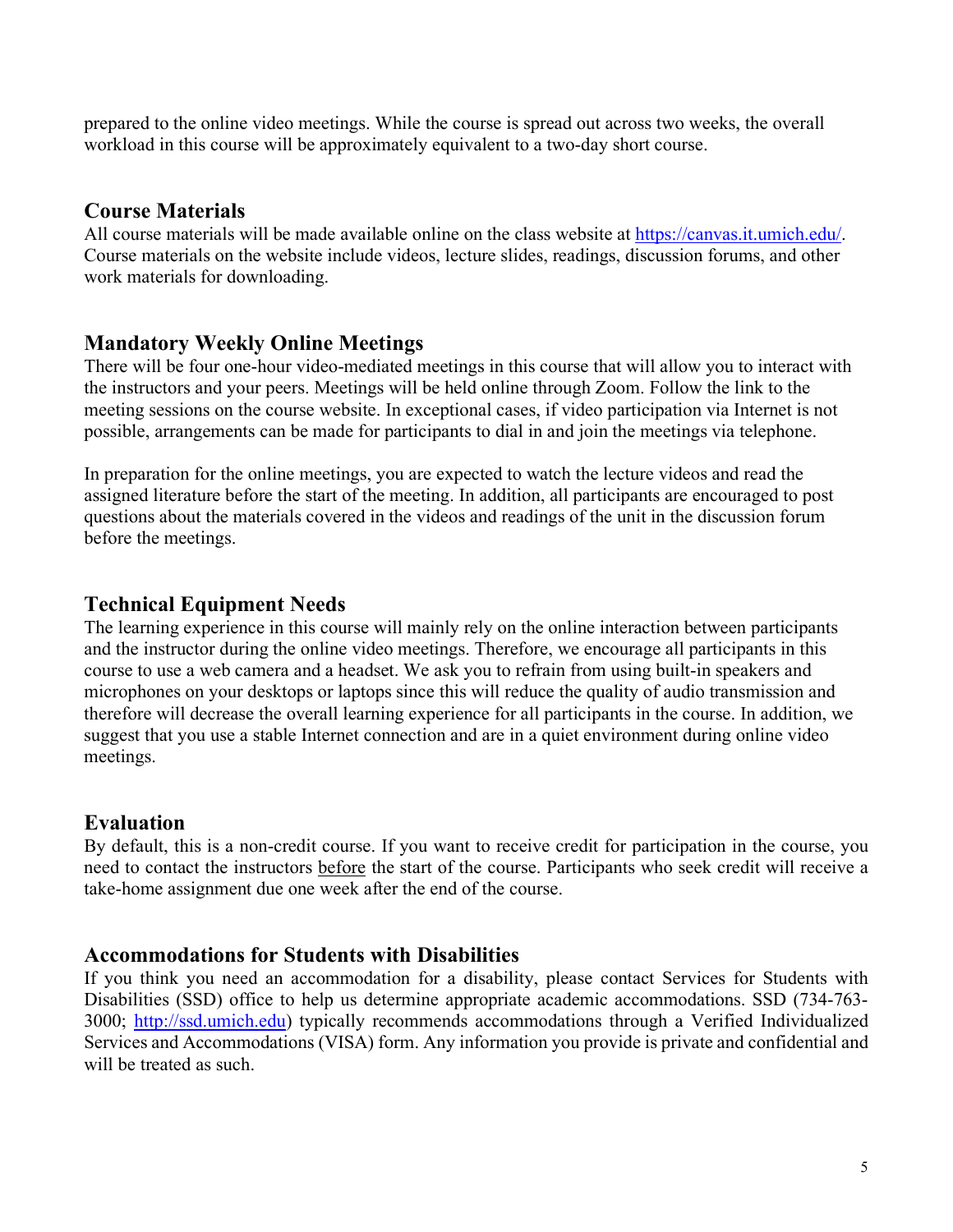prepared to the online video meetings. While the course is spread out across two weeks, the overall workload in this course will be approximately equivalent to a two-day short course.

### **Course Materials**

All course materials will be made available online on the class website at [https://canvas.it.umich.edu/.](https://canvas.it.umich.edu/) Course materials on the website include videos, lecture slides, readings, discussion forums, and other work materials for downloading.

# **Mandatory Weekly Online Meetings**

There will be four one-hour video-mediated meetings in this course that will allow you to interact with the instructors and your peers. Meetings will be held online through Zoom. Follow the link to the meeting sessions on the course website. In exceptional cases, if video participation via Internet is not possible, arrangements can be made for participants to dial in and join the meetings via telephone.

In preparation for the online meetings, you are expected to watch the lecture videos and read the assigned literature before the start of the meeting. In addition, all participants are encouraged to post questions about the materials covered in the videos and readings of the unit in the discussion forum before the meetings.

## **Technical Equipment Needs**

The learning experience in this course will mainly rely on the online interaction between participants and the instructor during the online video meetings. Therefore, we encourage all participants in this course to use a web camera and a headset. We ask you to refrain from using built-in speakers and microphones on your desktops or laptops since this will reduce the quality of audio transmission and therefore will decrease the overall learning experience for all participants in the course. In addition, we suggest that you use a stable Internet connection and are in a quiet environment during online video meetings.

### **Evaluation**

By default, this is a non-credit course. If you want to receive credit for participation in the course, you need to contact the instructors before the start of the course. Participants who seek credit will receive a take-home assignment due one week after the end of the course.

# **Accommodations for Students with Disabilities**

If you think you need an accommodation for a disability, please contact Services for Students with Disabilities (SSD) office to help us determine appropriate academic accommodations. SSD (734-763- 3000; [http://ssd.umich.edu\)](about:blank) typically recommends accommodations through a Verified Individualized Services and Accommodations (VISA) form. Any information you provide is private and confidential and will be treated as such.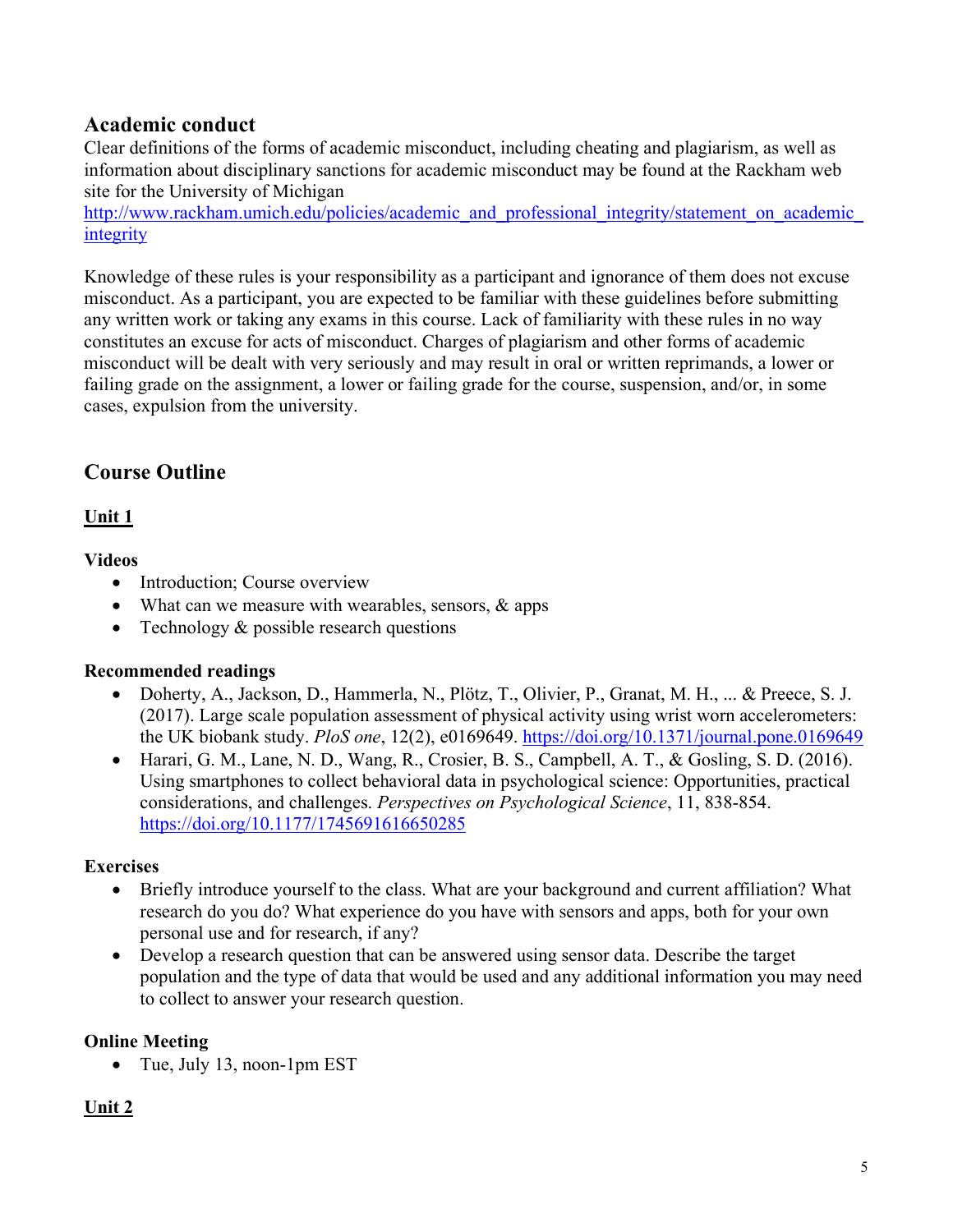# **Academic conduct**

Clear definitions of the forms of academic misconduct, including cheating and plagiarism, as well as information about disciplinary sanctions for academic misconduct may be found at the Rackham web site for the University of Michigan

http://www.rackham.umich.edu/policies/academic and professional integrity/statement on academic [integrity](about:blank)

Knowledge of these rules is your responsibility as a participant and ignorance of them does not excuse misconduct. As a participant, you are expected to be familiar with these guidelines before submitting any written work or taking any exams in this course. Lack of familiarity with these rules in no way constitutes an excuse for acts of misconduct. Charges of plagiarism and other forms of academic misconduct will be dealt with very seriously and may result in oral or written reprimands, a lower or failing grade on the assignment, a lower or failing grade for the course, suspension, and/or, in some cases, expulsion from the university.

# **Course Outline**

### **Unit 1**

#### **Videos**

- Introduction; Course overview
- What can we measure with wearables, sensors, & apps
- Technology  $&$  possible research questions

#### **Recommended readings**

- Doherty, A., Jackson, D., Hammerla, N., Plötz, T., Olivier, P., Granat, M. H., ... & Preece, S. J. (2017). Large scale population assessment of physical activity using wrist worn accelerometers: the UK biobank study. *PloS one*, 12(2), e0169649. <https://doi.org/10.1371/journal.pone.0169649>
- Harari, G. M., Lane, N. D., Wang, R., Crosier, B. S., Campbell, A. T., & Gosling, S. D. (2016). Using smartphones to collect behavioral data in psychological science: Opportunities, practical considerations, and challenges. *Perspectives on Psychological Science*, 11, 838-854. <https://doi.org/10.1177/1745691616650285>

### **Exercises**

- Briefly introduce yourself to the class. What are your background and current affiliation? What research do you do? What experience do you have with sensors and apps, both for your own personal use and for research, if any?
- Develop a research question that can be answered using sensor data. Describe the target population and the type of data that would be used and any additional information you may need to collect to answer your research question.

### **Online Meeting**

• Tue, July 13, noon-1pm EST

### **Unit 2**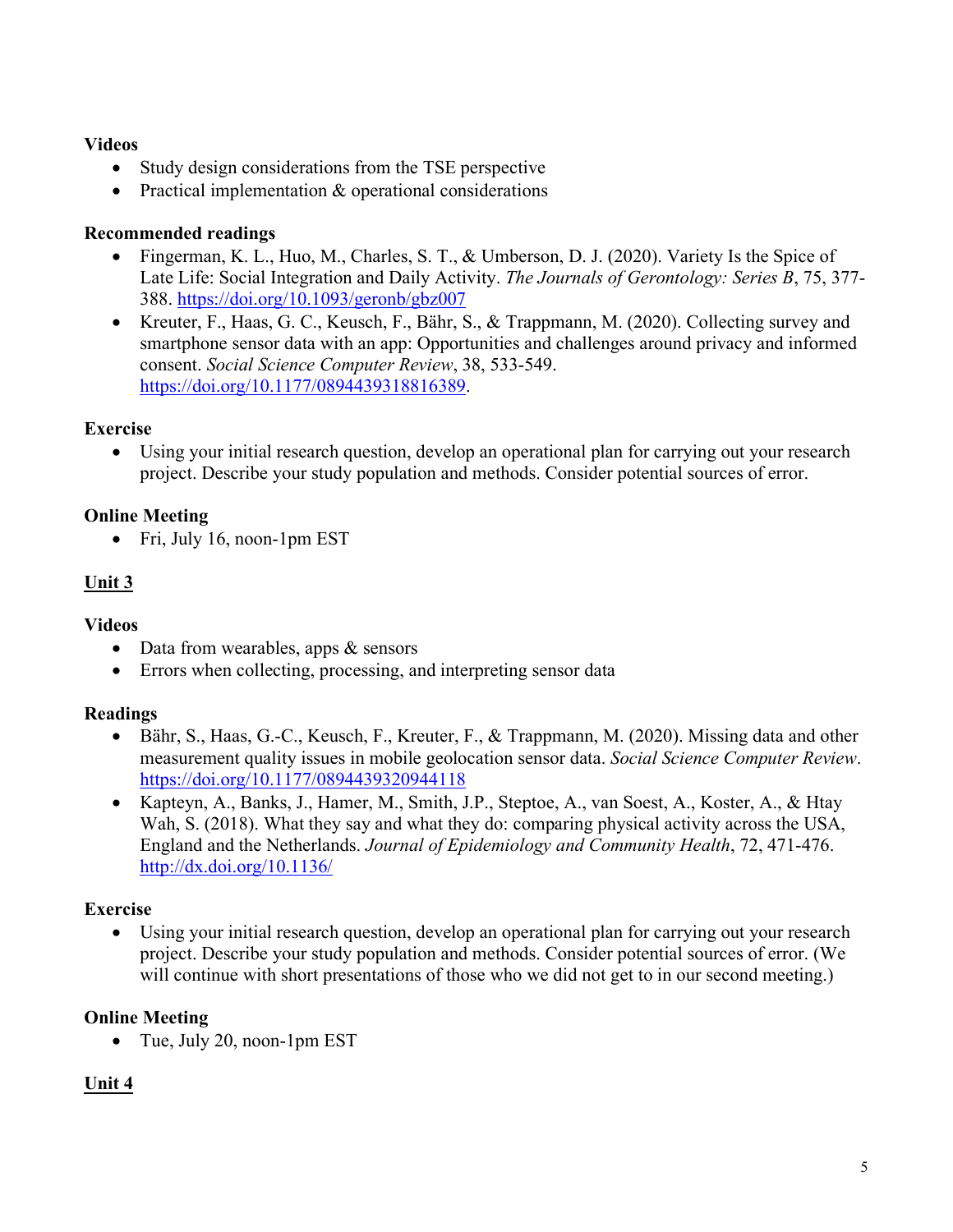#### **Videos**

- Study design considerations from the TSE perspective
- Practical implementation & operational considerations

#### **Recommended readings**

- Fingerman, K. L., Huo, M., Charles, S. T., & Umberson, D. J. (2020). Variety Is the Spice of Late Life: Social Integration and Daily Activity. *The Journals of Gerontology: Series B*, 75, 377- 388.<https://doi.org/10.1093/geronb/gbz007>
- Kreuter, F., Haas, G. C., Keusch, F., Bähr, S., & Trappmann, M. (2020). Collecting survey and smartphone sensor data with an app: Opportunities and challenges around privacy and informed consent. *Social Science Computer Review*, 38, 533-549. [https://doi.org/10.1177/0894439318816389.](https://doi.org/10.1177/0894439318816389)

### **Exercise**

• Using your initial research question, develop an operational plan for carrying out your research project. Describe your study population and methods. Consider potential sources of error.

### **Online Meeting**

• Fri, July 16, noon-1pm EST

### **Unit 3**

#### **Videos**

- Data from wearables, apps & sensors
- Errors when collecting, processing, and interpreting sensor data

#### **Readings**

- Bähr, S., Haas, G.-C., Keusch, F., Kreuter, F., & Trappmann, M. (2020). Missing data and other measurement quality issues in mobile geolocation sensor data. *Social Science Computer Review*. <https://doi.org/10.1177/0894439320944118>
- Kapteyn, A., Banks, J., Hamer, M., Smith, J.P., Steptoe, A., van Soest, A., Koster, A., & Htay Wah, S. (2018). What they say and what they do: comparing physical activity across the USA, England and the Netherlands. *Journal of Epidemiology and Community Health*, 72, 471-476. <http://dx.doi.org/10.1136/>

#### **Exercise**

Using your initial research question, develop an operational plan for carrying out your research project. Describe your study population and methods. Consider potential sources of error. (We will continue with short presentations of those who we did not get to in our second meeting.)

### **Online Meeting**

• Tue, July 20, noon-1pm EST

### **Unit 4**